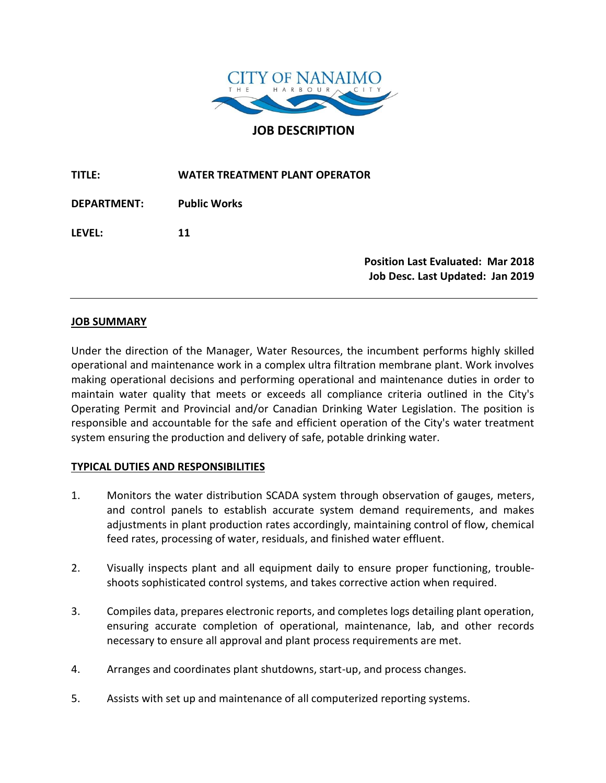

**TITLE: WATER TREATMENT PLANT OPERATOR**

**DEPARTMENT: Public Works LEVEL: 11** 

> **Position Last Evaluated: Mar 2018 Job Desc. Last Updated: Jan 2019**

### **JOB SUMMARY**

Under the direction of the Manager, Water Resources, the incumbent performs highly skilled operational and maintenance work in a complex ultra filtration membrane plant. Work involves making operational decisions and performing operational and maintenance duties in order to maintain water quality that meets or exceeds all compliance criteria outlined in the City's Operating Permit and Provincial and/or Canadian Drinking Water Legislation. The position is responsible and accountable for the safe and efficient operation of the City's water treatment system ensuring the production and delivery of safe, potable drinking water.

### **TYPICAL DUTIES AND RESPONSIBILITIES**

- 1. Monitors the water distribution SCADA system through observation of gauges, meters, and control panels to establish accurate system demand requirements, and makes adjustments in plant production rates accordingly, maintaining control of flow, chemical feed rates, processing of water, residuals, and finished water effluent.
- 2. Visually inspects plant and all equipment daily to ensure proper functioning, troubleshoots sophisticated control systems, and takes corrective action when required.
- 3. Compiles data, prepares electronic reports, and completes logs detailing plant operation, ensuring accurate completion of operational, maintenance, lab, and other records necessary to ensure all approval and plant process requirements are met.
- 4. Arranges and coordinates plant shutdowns, start-up, and process changes.
- 5. Assists with set up and maintenance of all computerized reporting systems.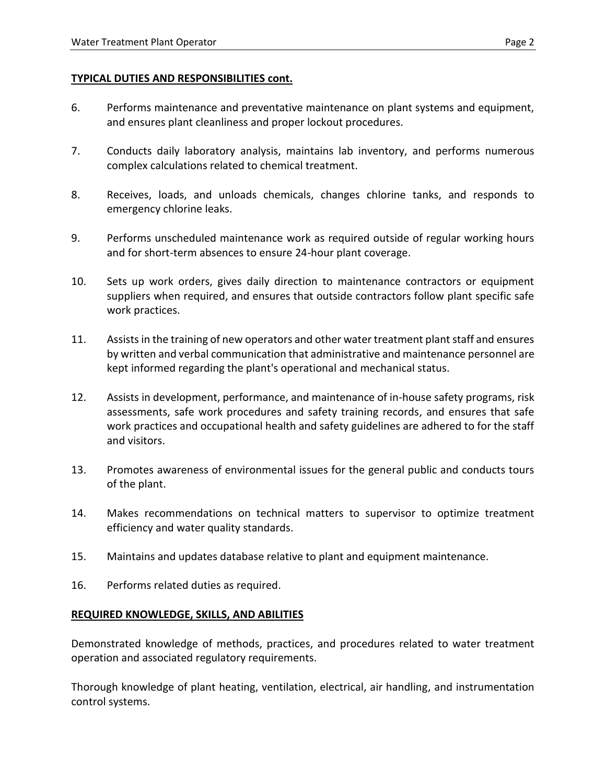# **TYPICAL DUTIES AND RESPONSIBILITIES cont.**

- 6. Performs maintenance and preventative maintenance on plant systems and equipment, and ensures plant cleanliness and proper lockout procedures.
- 7. Conducts daily laboratory analysis, maintains lab inventory, and performs numerous complex calculations related to chemical treatment.
- 8. Receives, loads, and unloads chemicals, changes chlorine tanks, and responds to emergency chlorine leaks.
- 9. Performs unscheduled maintenance work as required outside of regular working hours and for short-term absences to ensure 24-hour plant coverage.
- 10. Sets up work orders, gives daily direction to maintenance contractors or equipment suppliers when required, and ensures that outside contractors follow plant specific safe work practices.
- 11. Assists in the training of new operators and other water treatment plant staff and ensures by written and verbal communication that administrative and maintenance personnel are kept informed regarding the plant's operational and mechanical status.
- 12. Assists in development, performance, and maintenance of in-house safety programs, risk assessments, safe work procedures and safety training records, and ensures that safe work practices and occupational health and safety guidelines are adhered to for the staff and visitors.
- 13. Promotes awareness of environmental issues for the general public and conducts tours of the plant.
- 14. Makes recommendations on technical matters to supervisor to optimize treatment efficiency and water quality standards.
- 15. Maintains and updates database relative to plant and equipment maintenance.
- 16. Performs related duties as required.

### **REQUIRED KNOWLEDGE, SKILLS, AND ABILITIES**

Demonstrated knowledge of methods, practices, and procedures related to water treatment operation and associated regulatory requirements.

Thorough knowledge of plant heating, ventilation, electrical, air handling, and instrumentation control systems.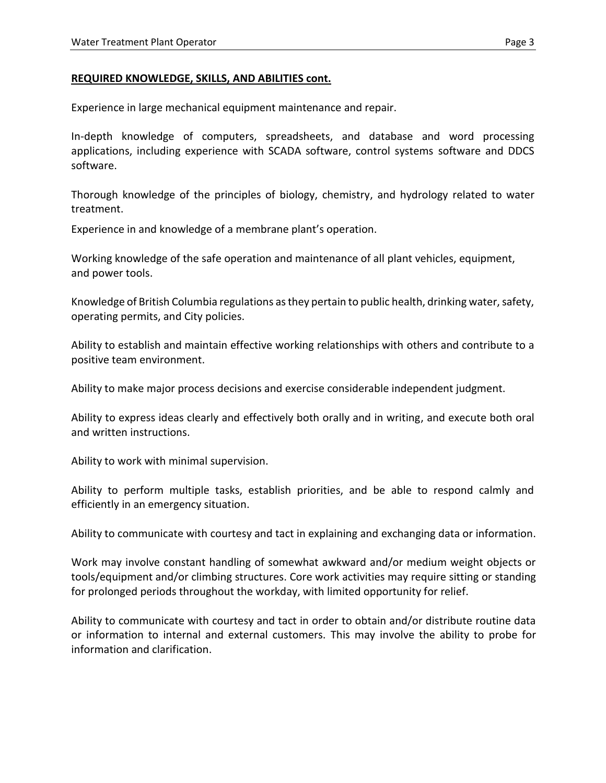### **REQUIRED KNOWLEDGE, SKILLS, AND ABILITIES cont.**

Experience in large mechanical equipment maintenance and repair.

In-depth knowledge of computers, spreadsheets, and database and word processing applications, including experience with SCADA software, control systems software and DDCS software.

Thorough knowledge of the principles of biology, chemistry, and hydrology related to water treatment.

Experience in and knowledge of a membrane plant's operation.

Working knowledge of the safe operation and maintenance of all plant vehicles, equipment, and power tools.

Knowledge of British Columbia regulations as they pertain to public health, drinking water, safety, operating permits, and City policies.

Ability to establish and maintain effective working relationships with others and contribute to a positive team environment.

Ability to make major process decisions and exercise considerable independent judgment.

Ability to express ideas clearly and effectively both orally and in writing, and execute both oral and written instructions.

Ability to work with minimal supervision.

Ability to perform multiple tasks, establish priorities, and be able to respond calmly and efficiently in an emergency situation.

Ability to communicate with courtesy and tact in explaining and exchanging data or information.

Work may involve constant handling of somewhat awkward and/or medium weight objects or tools/equipment and/or climbing structures. Core work activities may require sitting or standing for prolonged periods throughout the workday, with limited opportunity for relief.

Ability to communicate with courtesy and tact in order to obtain and/or distribute routine data or information to internal and external customers. This may involve the ability to probe for information and clarification.